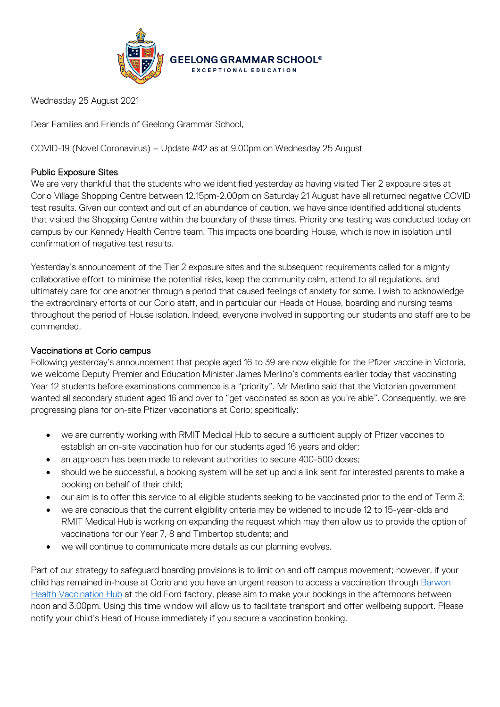

Wednesday 25 August 2021

Dear Families and Friends of Geelong Grammar School,

COVID-19 (Novel Coronavirus) – Update #42 as at 9.00pm on Wednesday 25 August

# Public Exposure Sites

We are very thankful that the students who we identified yesterday as having visited Tier 2 exposure sites at Corio Village Shopping Centre between 12.15pm-2.00pm on Saturday 21 August have all returned negative COVID test results. Given our context and out of an abundance of caution, we have since identified additional students that visited the Shopping Centre within the boundary of these times. Priority one testing was conducted today on campus by our Kennedy Health Centre team. This impacts one boarding House, which is now in isolation until confirmation of negative test results.

Yesterday's announcement of the Tier 2 exposure sites and the subsequent requirements called for a mighty collaborative effort to minimise the potential risks, keep the community calm, attend to all regulations, and ultimately care for one another through a period that caused feelings of anxiety for some. I wish to acknowledge the extraordinary efforts of our Corio staff, and in particular our Heads of House, boarding and nursing teams throughout the period of House isolation. Indeed, everyone involved in supporting our students and staff are to be commended.

# Vaccinations at Corio campus

Following yesterday's announcement that people aged 16 to 39 are now eligible for the Pfizer vaccine in Victoria, we welcome Deputy Premier and Education Minister James Merlino's comments earlier today that vaccinating Year 12 students before examinations commence is a "priority". Mr Merlino said that the Victorian government wanted all secondary student aged 16 and over to "get vaccinated as soon as you're able". Consequently, we are progressing plans for on-site Pfizer vaccinations at Corio; specifically:

- we are currently working with RMIT Medical Hub to secure a sufficient supply of Pfizer vaccines to establish an on-site vaccination hub for our students aged 16 years and older;
- an approach has been made to relevant authorities to secure 400-500 doses;
- should we be successful, a booking system will be set up and a link sent for interested parents to make a booking on behalf of their child;
- our aim is to offer this service to all eligible students seeking to be vaccinated prior to the end of Term 3;
- we are conscious that the current eligibility criteria may be widened to include 12 to 15-year-olds and RMIT Medical Hub is working on expanding the request which may then allow us to provide the option of vaccinations for our Year 7, 8 and Timbertop students; and
- we will continue to communicate more details as our planning evolves.

Part of our strategy to safeguard boarding provisions is to limit on and off campus movement; however, if your child has remained in-house at Corio and you have an urgent reason to access a vaccination through [Barwon](https://www.barwonhealth.org.au/coronavirus/booking-a-vaccination)  [Health Vaccination Hub](https://www.barwonhealth.org.au/coronavirus/booking-a-vaccination) at the old Ford factory, please aim to make your bookings in the afternoons between noon and 3.00pm. Using this time window will allow us to facilitate transport and offer wellbeing support. Please notify your child's Head of House immediately if you secure a vaccination booking.